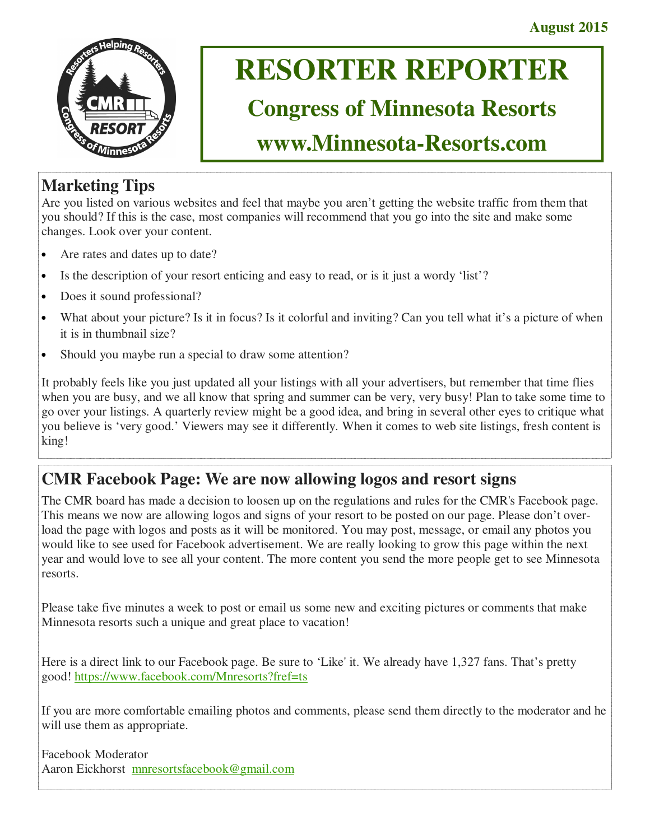

# **RESORTER REPORTER**

## **Congress of Minnesota Resorts**

## **www.Minnesota-Resorts.com**

### **Marketing Tips**

Are you listed on various websites and feel that maybe you aren't getting the website traffic from them that you should? If this is the case, most companies will recommend that you go into the site and make some changes. Look over your content.

- Are rates and dates up to date?
- Is the description of your resort enticing and easy to read, or is it just a wordy 'list'?
- Does it sound professional?
- What about your picture? Is it in focus? Is it colorful and inviting? Can you tell what it's a picture of when it is in thumbnail size?
- Should you maybe run a special to draw some attention?

It probably feels like you just updated all your listings with all your advertisers, but remember that time flies when you are busy, and we all know that spring and summer can be very, very busy! Plan to take some time to go over your listings. A quarterly review might be a good idea, and bring in several other eyes to critique what you believe is 'very good.' Viewers may see it differently. When it comes to web site listings, fresh content is king!

### **CMR Facebook Page: We are now allowing logos and resort signs**

The CMR board has made a decision to loosen up on the regulations and rules for the CMR's Facebook page. This means we now are allowing logos and signs of your resort to be posted on our page. Please don't overload the page with logos and posts as it will be monitored. You may post, message, or email any photos you would like to see used for Facebook advertisement. We are really looking to grow this page within the next year and would love to see all your content. The more content you send the more people get to see Minnesota resorts.

Please take five minutes a week to post or email us some new and exciting pictures or comments that make Minnesota resorts such a unique and great place to vacation!

Here is a direct link to our Facebook page. Be sure to 'Like' it. We already have 1,327 fans. That's pretty good! https://www.facebook.com/Mnresorts?fref=ts

If you are more comfortable emailing photos and comments, please send them directly to the moderator and he will use them as appropriate.

Facebook Moderator Aaron Eickhorst mnresortsfacebook@gmail.com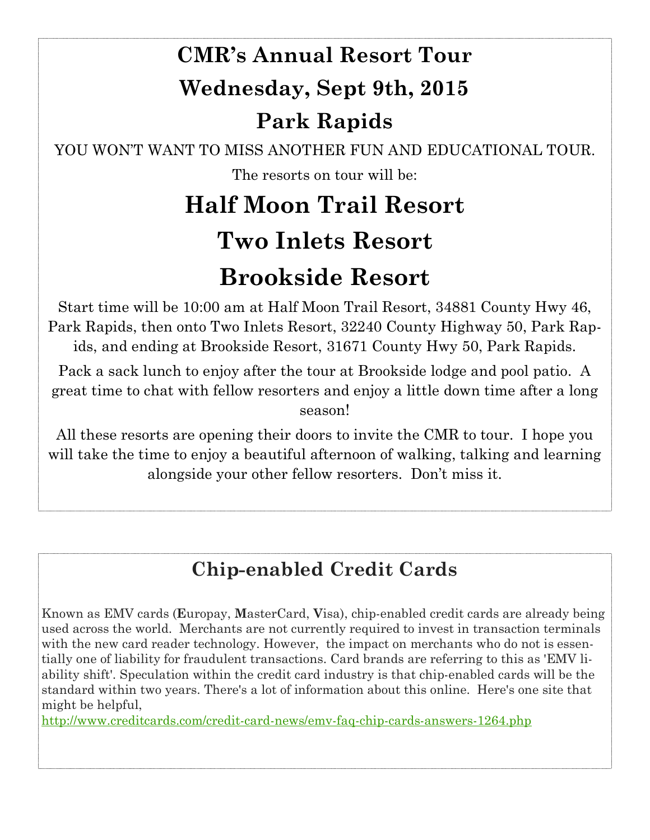# **CMR's Annual Resort Tour Wednesday, Sept 9th, 2015 Park Rapids**

YOU WON'T WANT TO MISS ANOTHER FUN AND EDUCATIONAL TOUR. The resorts on tour will be:

# **Half Moon Trail Resort Two Inlets Resort Brookside Resort**

Start time will be 10:00 am at Half Moon Trail Resort, 34881 County Hwy 46, Park Rapids, then onto Two Inlets Resort, 32240 County Highway 50, Park Rapids, and ending at Brookside Resort, 31671 County Hwy 50, Park Rapids.

Pack a sack lunch to enjoy after the tour at Brookside lodge and pool patio. A great time to chat with fellow resorters and enjoy a little down time after a long season!

All these resorts are opening their doors to invite the CMR to tour. I hope you will take the time to enjoy a beautiful afternoon of walking, talking and learning alongside your other fellow resorters. Don't miss it.

## **Chip-enabled Credit Cards**

Known as EMV cards (**E**uropay, **M**asterCard, **V**isa), chip-enabled credit cards are already being used across the world. Merchants are not currently required to invest in transaction terminals with the new card reader technology. However, the impact on merchants who do not is essentially one of liability for fraudulent transactions. Card brands are referring to this as 'EMV liability shift'. Speculation within the credit card industry is that chip-enabled cards will be the standard within two years. There's a lot of information about this online. Here's one site that might be helpful,

http://www.creditcards.com/credit-card-news/emv-faq-chip-cards-answers-1264.php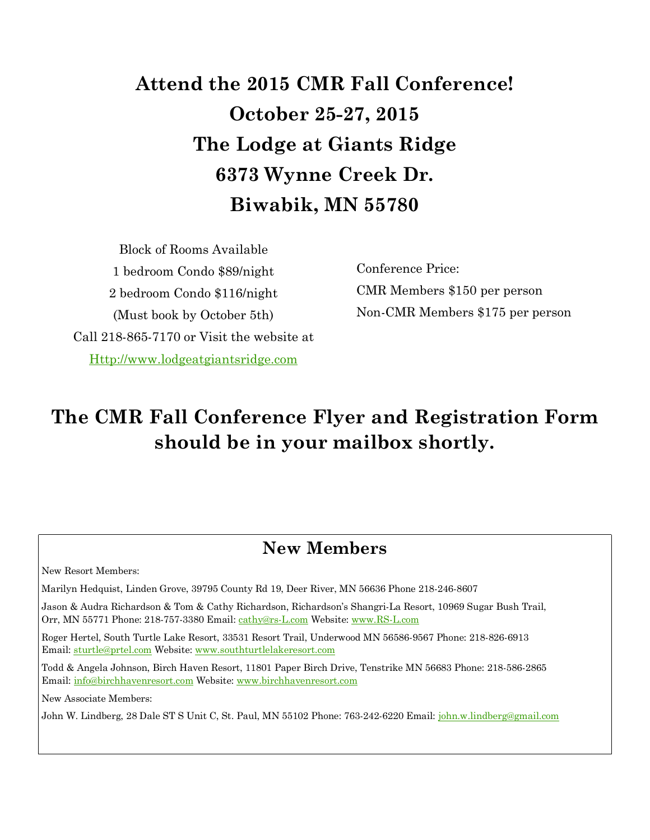## **Attend the 2015 CMR Fall Conference! October 25-27, 2015 The Lodge at Giants Ridge 6373 Wynne Creek Dr. Biwabik, MN 55780**

Block of Rooms Available 1 bedroom Condo \$89/night 2 bedroom Condo \$116/night (Must book by October 5th) Call 218-865-7170 or Visit the website at Http://www.lodgeatgiantsridge.com

Conference Price: CMR Members \$150 per person Non-CMR Members \$175 per person

## **The CMR Fall Conference Flyer and Registration Form should be in your mailbox shortly.**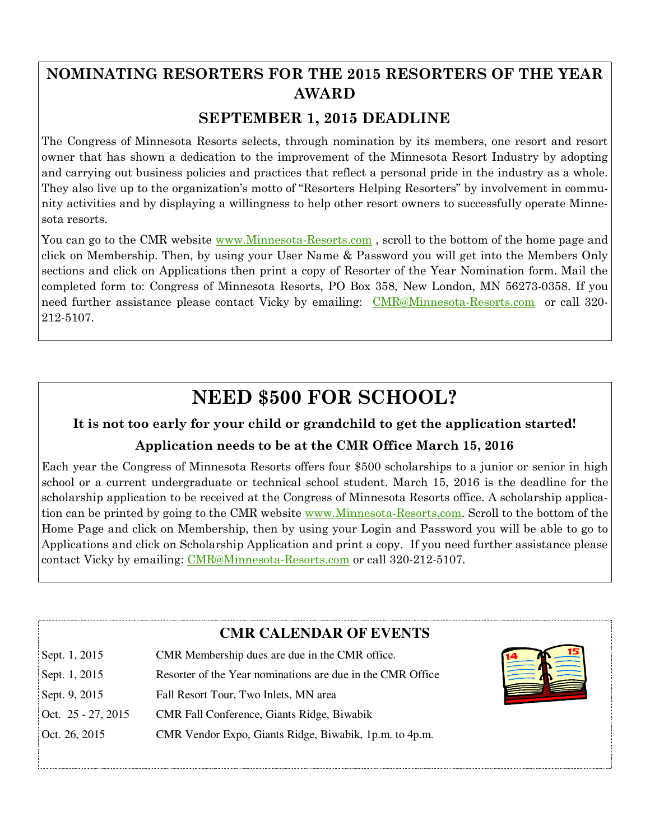### **NOMINATING RESORTERS FOR THE 2015 RESORTERS OF THE YEAR AWARD**

### **SEPTEMBER 1, 2015 DEADLINE**

The Congress of Minnesota Resorts selects, through nomination by its members, one resort and resort owner that has shown a dedication to the improvement of the Minnesota Resort Industry by adopting and carrying out business policies and practices that reflect a personal pride in the industry as a whole. They also live up to the organization's motto of "Resorters Helping Resorters" by involvement in community activities and by displaying a willingness to help other resort owners to successfully operate Minnesota resorts.

You can go to the CMR website www.Minnesota-Resorts.com, scroll to the bottom of the home page and click on Membership. Then, by using your User Name & Password you will get into the Members Only sections and click on Applications then print a copy of Resorter of the Year Nomination form. Mail the completed form to: Congress of Minnesota Resorts, PO Box 358, New London, MN 56273-0358. If you need further assistance please contact Vicky by emailing: CMR@Minnesota-Resorts.com or call 320-212-5107.

## **NEED \$500 FOR SCHOOL?**

### **It is not too early for your child or grandchild to get the application started!**

### **Application needs to be at the CMR Office March 15, 2016**

Each year the Congress of Minnesota Resorts offers four \$500 scholarships to a junior or senior in high school or a current undergraduate or technical school student. March 15, 2016 is the deadline for the scholarship application to be received at the Congress of Minnesota Resorts office. A scholarship application can be printed by going to the CMR website www.Minnesota-Resorts.com. Scroll to the bottom of the Home Page and click on Membership, then by using your Login and Password you will be able to go to Applications and click on Scholarship Application and print a copy. If you need further assistance please contact Vicky by emailing: CMR@Minnesota-Resorts.com or call 320-212-5107.

|                    | <b>CMR CALENDAR OF EVENTS</b>                              |  |
|--------------------|------------------------------------------------------------|--|
| Sept. 1, 2015      | CMR Membership dues are due in the CMR office.             |  |
| Sept. 1, 2015      | Resorter of the Year nominations are due in the CMR Office |  |
| Sept. 9, 2015      | Fall Resort Tour, Two Inlets, MN area                      |  |
| Oct. 25 - 27, 2015 | <b>CMR</b> Fall Conference, Giants Ridge, Biwabik          |  |
| Oct. 26, 2015      | CMR Vendor Expo, Giants Ridge, Biwabik, 1p.m. to 4p.m.     |  |
|                    |                                                            |  |